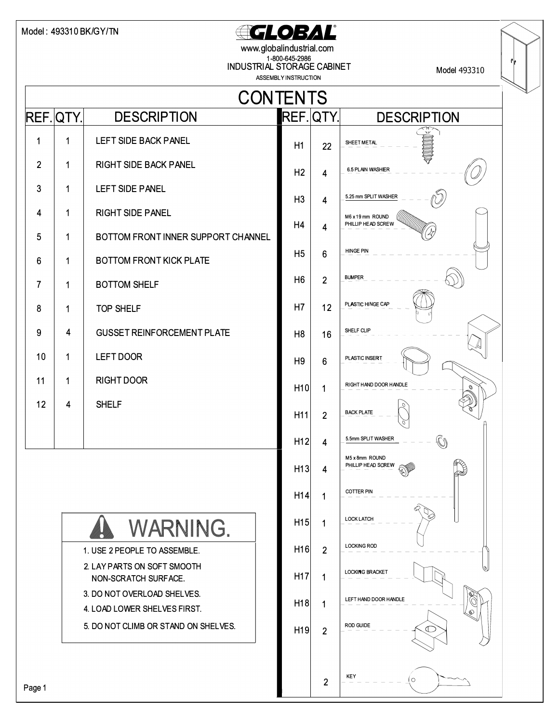## Model : 493310 BK/GY/TN **CLOBAL**

www.globalindustrial.com 1-800-645-2986 INDUSTRIAL STORAGE CABINET

Model 493310

|                |           |                                                                      | ASSEMBLY INSTRUCTION |                |                                        |
|----------------|-----------|----------------------------------------------------------------------|----------------------|----------------|----------------------------------------|
|                |           | <b>CONTENTS</b>                                                      |                      |                |                                        |
|                | REF. QTY. | <b>DESCRIPTION</b>                                                   |                      | REF. QTY.      | <b>DESCRIPTION</b>                     |
| 1              | 1         | LEFT SIDE BACK PANEL                                                 | H1                   | 22             | $\mathbb{C}$<br>SHEET METAL            |
| $\overline{2}$ | 1         | <b>RIGHT SIDE BACK PANEL</b>                                         | H <sub>2</sub>       | 4              | 6.5 PLAIN WASHER                       |
| 3              | 1         | <b>LEFT SIDE PANEL</b>                                               | H <sub>3</sub>       | 4              | 5.25 mm SPLIT WASHER                   |
| 4              | 1         | <b>RIGHT SIDE PANEL</b>                                              | H4                   | 4              | M6 x 19 mm ROUND<br>PHILLIP HEAD SCREW |
| 5              | 1         | BOTTOM FRONT INNER SUPPORT CHANNEL                                   | H <sub>5</sub>       |                | <b>HINGE PIN</b>                       |
| 6              | 1         | <b>BOTTOM FRONT KICK PLATE</b>                                       |                      | 6              |                                        |
| 7              | 1         | <b>BOTTOM SHELF</b>                                                  | H <sub>6</sub>       | $\overline{2}$ | <b>BUMPER</b>                          |
| 8              | 1         | <b>TOP SHELF</b>                                                     | H7                   | 12             | PLASTIC HINGE CAP                      |
| 9              | 4         | <b>GUSSET REINFORCEMENT PLATE</b>                                    | H <sub>8</sub>       | 16             | SHELF CLIP                             |
| 10             | 1         | LEFT DOOR                                                            | H <sub>9</sub>       | 6              | PLASTIC INSERT                         |
| 11             | 1         | <b>RIGHT DOOR</b>                                                    | H10                  | 1              | RIGHT HAND DOOR HANDLE                 |
| 12             | 4         | <b>SHELF</b>                                                         | H <sub>11</sub>      | $\overline{2}$ | <b>BACK PLATE</b>                      |
|                |           |                                                                      | H <sub>12</sub>      | 4              | 5.5mm SPLIT WASHER<br>O)               |
|                |           |                                                                      | H <sub>13</sub>      | 4              | M5 x 8mm ROUND<br>PHILLIP HEAD SCREW   |
|                |           |                                                                      | H14                  | 1              | <b>COTTER PIN</b>                      |
|                |           | <b>WARNING.</b>                                                      | H15                  | 1              | <b>LOCK LATCH</b>                      |
|                |           | 1. USE 2 PEOPLE TO ASSEMBLE.                                         | H16                  | $\overline{2}$ | <b>LOCKING ROD</b>                     |
|                |           | 2. LAY PARTS ON SOFT SMOOTH<br>NON-SCRATCH SURFACE.                  | H <sub>17</sub>      | 1              | <b>LOCKING BRACKET</b>                 |
|                |           | 3. DO NOT OVERLOAD SHELVES.                                          | H18                  | 1              | LEFT HAND DOOR HANDLE                  |
|                |           | 4. LOAD LOWER SHELVES FIRST.<br>5. DO NOT CLIMB OR STAND ON SHELVES. | H19                  | $\overline{2}$ | ଈ<br><b>ROD GUIDE</b><br>$\subset$     |
|                |           |                                                                      |                      |                |                                        |
| Page 1         |           |                                                                      |                      | 2              | KEY<br>1 O                             |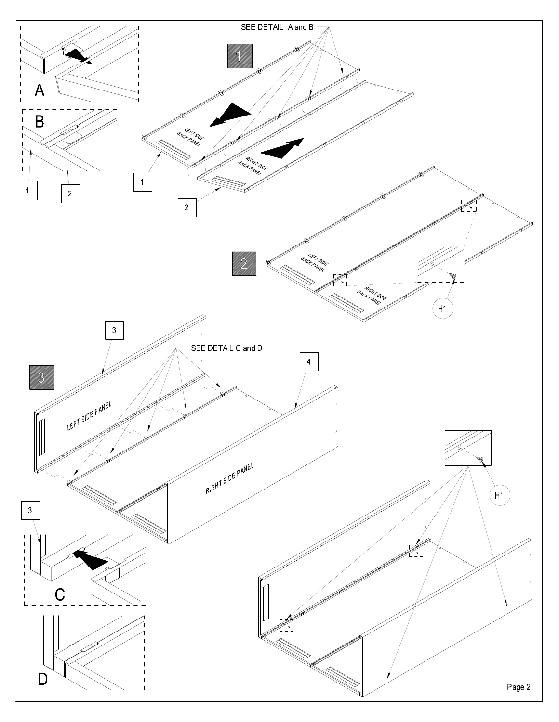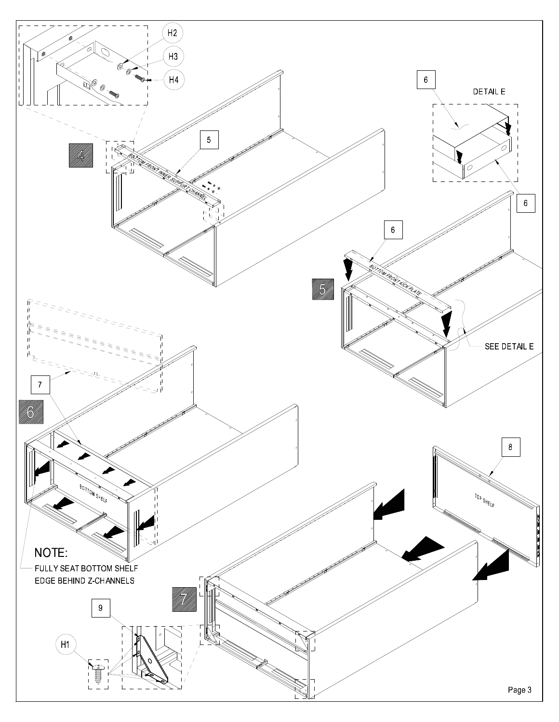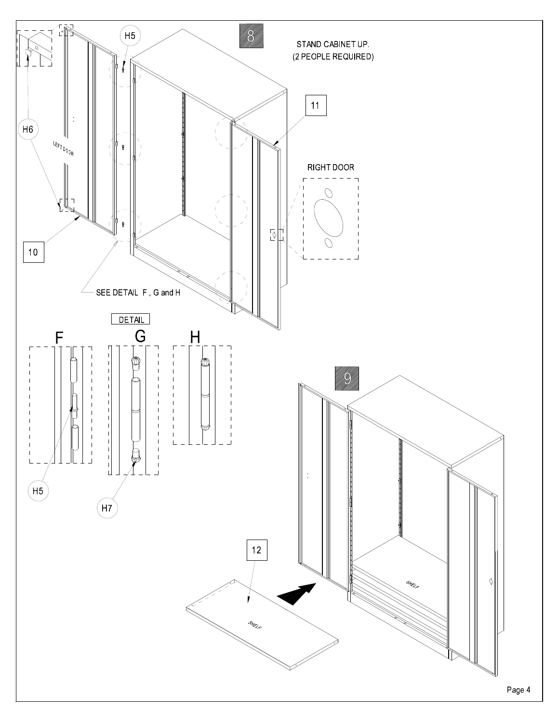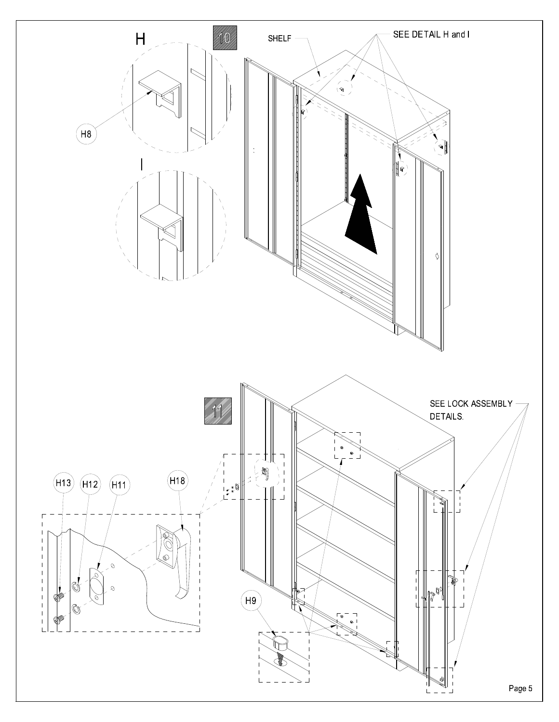